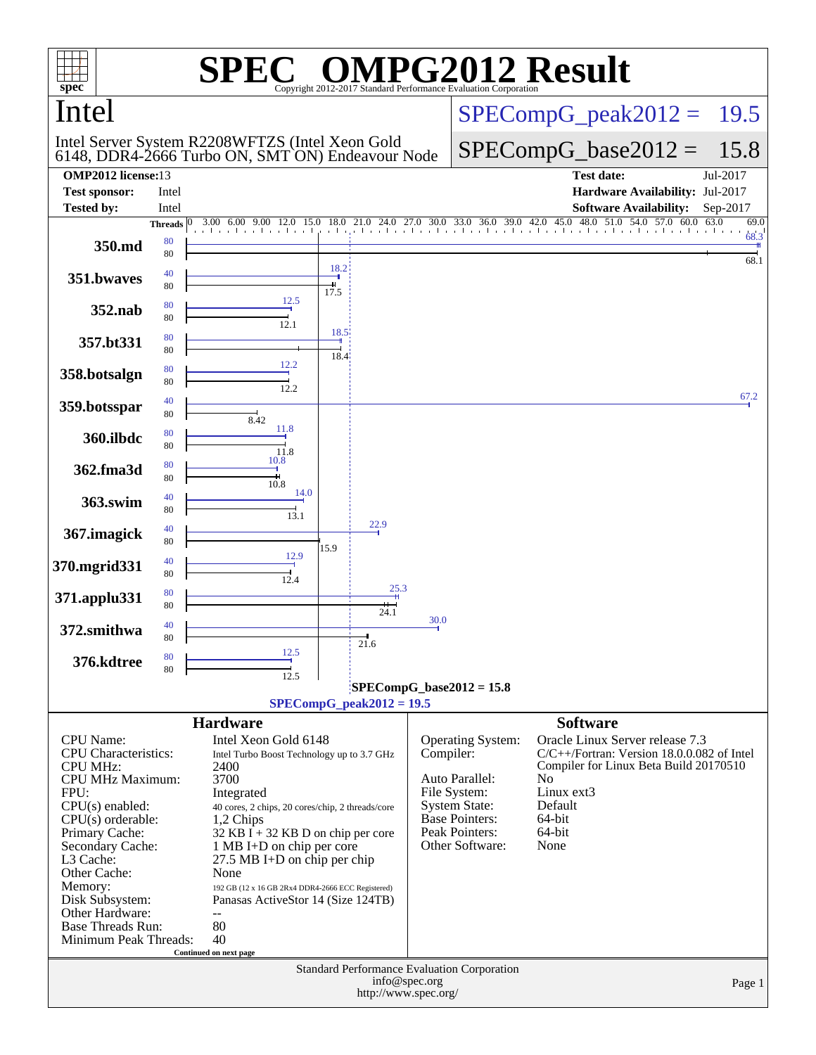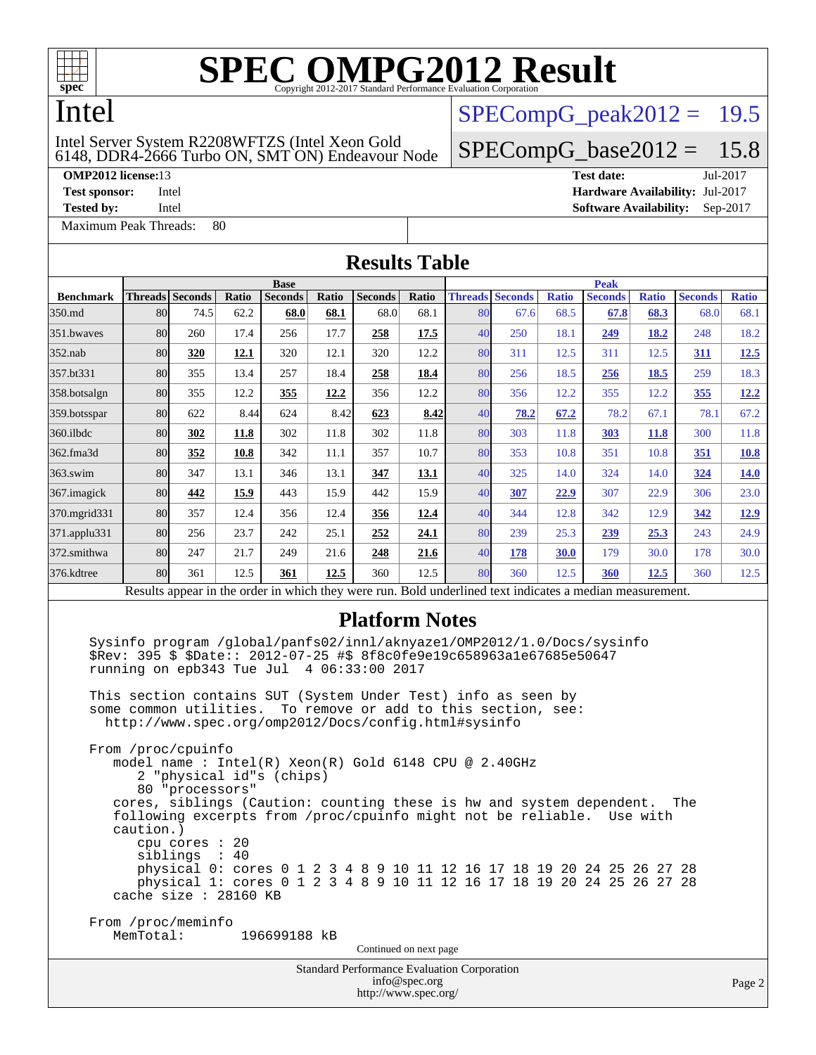

## Intel

#### 6148, DDR4-2666 Turbo ON, SMT ON) Endeavour Node Intel Server System R2208WFTZS (Intel Xeon Gold

**[OMP2012 license:](http://www.spec.org/auto/omp2012/Docs/result-fields.html#OMP2012license)**13 **[Test date:](http://www.spec.org/auto/omp2012/Docs/result-fields.html#Testdate)** Jul-2017

[Maximum Peak Threads:](http://www.spec.org/auto/omp2012/Docs/result-fields.html#MaximumPeakThreads) 80

 $SPECompG_peak2012 = 19.5$  $SPECompG_peak2012 = 19.5$ 

## $SPECompG_base2012 = 15.8$  $SPECompG_base2012 = 15.8$

**[Test sponsor:](http://www.spec.org/auto/omp2012/Docs/result-fields.html#Testsponsor)** Intel **[Hardware Availability:](http://www.spec.org/auto/omp2012/Docs/result-fields.html#HardwareAvailability)** Jul-2017 **[Tested by:](http://www.spec.org/auto/omp2012/Docs/result-fields.html#Testedby)** Intel **[Software Availability:](http://www.spec.org/auto/omp2012/Docs/result-fields.html#SoftwareAvailability)** Sep-2017

| <b>Results Table</b> |                 |                                                                                                                                                                                                                                                                                                                                                                                                                                                                                                                                  |       |              |       |                                             |             |    |                        |              |                                                                                                                                                                                                                                                                                                    |              |                |              |
|----------------------|-----------------|----------------------------------------------------------------------------------------------------------------------------------------------------------------------------------------------------------------------------------------------------------------------------------------------------------------------------------------------------------------------------------------------------------------------------------------------------------------------------------------------------------------------------------|-------|--------------|-------|---------------------------------------------|-------------|----|------------------------|--------------|----------------------------------------------------------------------------------------------------------------------------------------------------------------------------------------------------------------------------------------------------------------------------------------------------|--------------|----------------|--------------|
|                      | <b>Base</b>     |                                                                                                                                                                                                                                                                                                                                                                                                                                                                                                                                  |       |              |       |                                             | <b>Peak</b> |    |                        |              |                                                                                                                                                                                                                                                                                                    |              |                |              |
| <b>Benchmark</b>     | Threads Seconds |                                                                                                                                                                                                                                                                                                                                                                                                                                                                                                                                  | Ratio | Seconds      | Ratio | <b>Seconds</b>                              | Ratio       |    | <b>Threads Seconds</b> | <b>Ratio</b> | <b>Seconds</b>                                                                                                                                                                                                                                                                                     | <b>Ratio</b> | <b>Seconds</b> | <b>Ratio</b> |
| 350.md               | 80              | 74.5                                                                                                                                                                                                                                                                                                                                                                                                                                                                                                                             | 62.2  | 68.0         | 68.1  | 68.0                                        | 68.1        | 80 | 67.6                   | 68.5         | 67.8                                                                                                                                                                                                                                                                                               | 68.3         | 68.0           | 68.1         |
| 351.bwaves           | 80              | 260                                                                                                                                                                                                                                                                                                                                                                                                                                                                                                                              | 17.4  | 256          | 17.7  | 258                                         | 17.5        | 40 | 250                    | 18.1         | 249                                                                                                                                                                                                                                                                                                | 18.2         | 248            | 18.2         |
| 352.nab              | 80              | 320                                                                                                                                                                                                                                                                                                                                                                                                                                                                                                                              | 12.1  | 320          | 12.1  | 320                                         | 12.2        | 80 | 311                    | 12.5         | 311                                                                                                                                                                                                                                                                                                | 12.5         | 311            | 12.5         |
| 357.bt331            | 80              | 355                                                                                                                                                                                                                                                                                                                                                                                                                                                                                                                              | 13.4  | 257          | 18.4  | 258                                         | 18.4        | 80 | 256                    | 18.5         | 256                                                                                                                                                                                                                                                                                                | 18.5         | 259            | 18.3         |
| 358.botsalgn         | 80              | 355                                                                                                                                                                                                                                                                                                                                                                                                                                                                                                                              | 12.2  | 355          | 12.2  | 356                                         | 12.2        | 80 | 356                    | 12.2         | 355                                                                                                                                                                                                                                                                                                | 12.2         | 355            | 12.2         |
| 359.botsspar         | 80              | 622                                                                                                                                                                                                                                                                                                                                                                                                                                                                                                                              | 8.44  | 624          | 8.42  | 623                                         | 8.42        | 40 | 78.2                   | 67.2         | 78.2                                                                                                                                                                                                                                                                                               | 67.1         | 78.1           | 67.2         |
| 360.ilbdc            | 80              | 302                                                                                                                                                                                                                                                                                                                                                                                                                                                                                                                              | 11.8  | 302          | 11.8  | 302                                         | 11.8        | 80 | 303                    | 11.8         | 303                                                                                                                                                                                                                                                                                                | <b>11.8</b>  | 300            | 11.8         |
| 362.fma3d            | 80              | 352                                                                                                                                                                                                                                                                                                                                                                                                                                                                                                                              | 10.8  | 342          | 11.1  | 357                                         | 10.7        | 80 | 353                    | 10.8         | 351                                                                                                                                                                                                                                                                                                | 10.8         | <u>351</u>     | <b>10.8</b>  |
| 363.swim             | 80              | 347                                                                                                                                                                                                                                                                                                                                                                                                                                                                                                                              | 13.1  | 346          | 13.1  | 347                                         | 13.1        | 40 | 325                    | 14.0         | 324                                                                                                                                                                                                                                                                                                | 14.0         | 324            | 14.0         |
| 367. imagick         | 80              | 442                                                                                                                                                                                                                                                                                                                                                                                                                                                                                                                              | 15.9  | 443          | 15.9  | 442                                         | 15.9        | 40 | 307                    | 22.9         | 307                                                                                                                                                                                                                                                                                                | 22.9         | 306            | 23.0         |
| 370.mgrid331         | 80              | 357                                                                                                                                                                                                                                                                                                                                                                                                                                                                                                                              | 12.4  | 356          | 12.4  | <u>356</u>                                  | 12.4        | 40 | 344                    | 12.8         | 342                                                                                                                                                                                                                                                                                                | 12.9         | 342            | <u>12.9</u>  |
| 371.applu331         | 80              | 256                                                                                                                                                                                                                                                                                                                                                                                                                                                                                                                              | 23.7  | 242          | 25.1  | 252                                         | 24.1        | 80 | 239                    | 25.3         | 239                                                                                                                                                                                                                                                                                                | 25.3         | 243            | 24.9         |
| 372.smithwa          | 80              | 247                                                                                                                                                                                                                                                                                                                                                                                                                                                                                                                              | 21.7  | 249          | 21.6  | 248                                         | 21.6        | 40 | 178                    | 30.0         | 179                                                                                                                                                                                                                                                                                                | 30.0         | 178            | 30.0         |
| 376.kdtree           | 80              | 361                                                                                                                                                                                                                                                                                                                                                                                                                                                                                                                              | 12.5  | 361          | 12.5  | 360                                         | 12.5        | 80 | 360                    | 12.5         | 360                                                                                                                                                                                                                                                                                                | 12.5         | 360            | 12.5         |
|                      |                 |                                                                                                                                                                                                                                                                                                                                                                                                                                                                                                                                  |       |              |       |                                             |             |    |                        |              | Results appear in the order in which they were run. Bold underlined text indicates a median measurement.                                                                                                                                                                                           |              |                |              |
|                      | caution.)       | \$Rev: 395 \$ \$Date:: 2012-07-25 #\$ 8f8c0fe9e19c658963a1e67685e50647<br>running on epb343 Tue Jul 4 06:33:00 2017<br>This section contains SUT (System Under Test) info as seen by<br>some common utilities.<br>http://www.spec.org/omp2012/Docs/config.html#sysinfo<br>From /proc/cpuinfo<br>model name : Intel(R) Xeon(R) Gold 6148 CPU @ 2.40GHz<br>2 "physical id"s (chips)<br>80 "processors"<br>following excerpts from /proc/cpuinfo might not be reliable.<br>cpu cores : 20<br>siblings : 40<br>cache size : 28160 KB |       |              |       | To remove or add to this section, see:      |             |    |                        |              | Sysinfo program /global/panfs02/innl/aknyaze1/OMP2012/1.0/Docs/sysinfo<br>cores, siblings (Caution: counting these is hw and system dependent.<br>physical 0: cores 0 1 2 3 4 8 9 10 11 12 16 17 18 19 20 24 25 26 27 28<br>physical 1: cores 0 1 2 3 4 8 9 10 11 12 16 17 18 19 20 24 25 26 27 28 | Use with     | The            |              |
|                      | MemTotal:       | From /proc/meminfo                                                                                                                                                                                                                                                                                                                                                                                                                                                                                                               |       | 196699188 kB |       | Continued on next page                      |             |    |                        |              |                                                                                                                                                                                                                                                                                                    |              |                |              |
|                      |                 |                                                                                                                                                                                                                                                                                                                                                                                                                                                                                                                                  |       |              |       | Standard Performance Evaluation Corporation |             |    |                        |              |                                                                                                                                                                                                                                                                                                    |              |                |              |

#### [info@spec.org](mailto:info@spec.org)

<http://www.spec.org/>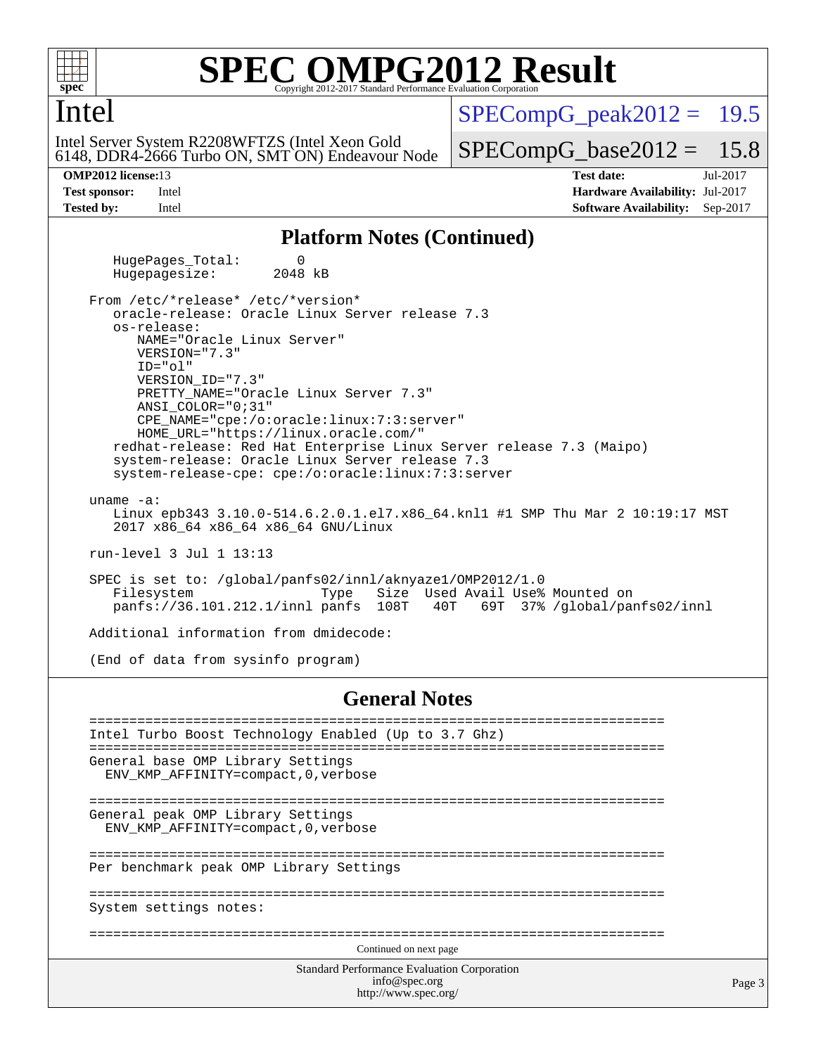

## Intel

6148, DDR4-2666 Turbo ON, SMT ON) Endeavour Node Intel Server System R2208WFTZS (Intel Xeon Gold

 $SPECompG_peak2012 = 19.5$  $SPECompG_peak2012 = 19.5$ 

 $SPECompG_base2012 = 15.8$  $SPECompG_base2012 = 15.8$ 

**[OMP2012 license:](http://www.spec.org/auto/omp2012/Docs/result-fields.html#OMP2012license)**13 **[Test date:](http://www.spec.org/auto/omp2012/Docs/result-fields.html#Testdate)** Jul-2017 **[Test sponsor:](http://www.spec.org/auto/omp2012/Docs/result-fields.html#Testsponsor)** Intel **[Hardware Availability:](http://www.spec.org/auto/omp2012/Docs/result-fields.html#HardwareAvailability)** Jul-2017 **[Tested by:](http://www.spec.org/auto/omp2012/Docs/result-fields.html#Testedby)** Intel **[Software Availability:](http://www.spec.org/auto/omp2012/Docs/result-fields.html#SoftwareAvailability)** Sep-2017

### **[Platform Notes \(Continued\)](http://www.spec.org/auto/omp2012/Docs/result-fields.html#PlatformNotes)**

HugePages\_Total: 0<br>Hugepagesize: 2048 kB Hugepagesize:

 From /etc/\*release\* /etc/\*version\* oracle-release: Oracle Linux Server release 7.3 os-release: NAME="Oracle Linux Server" VERSION="7.3" ID="ol" VERSION\_ID="7.3" PRETTY\_NAME="Oracle Linux Server 7.3" ANSI\_COLOR="0;31" CPE\_NAME="cpe:/o:oracle:linux:7:3:server" HOME\_URL="<https://linux.oracle.com/"> redhat-release: Red Hat Enterprise Linux Server release 7.3 (Maipo) system-release: Oracle Linux Server release 7.3 system-release-cpe: cpe:/o:oracle:linux:7:3:server

uname -a:

 Linux epb343 3.10.0-514.6.2.0.1.el7.x86\_64.knl1 #1 SMP Thu Mar 2 10:19:17 MST 2017 x86\_64 x86\_64 x86\_64 GNU/Linux

run-level 3 Jul 1 13:13

 SPEC is set to: /global/panfs02/innl/aknyaze1/OMP2012/1.0 Size Used Avail Use% Mounted on panfs://36.101.212.1/innl panfs 108T 40T 69T 37% /global/panfs02/innl

Additional information from dmidecode:

(End of data from sysinfo program)

#### **[General Notes](http://www.spec.org/auto/omp2012/Docs/result-fields.html#GeneralNotes)**

| Intel Turbo Boost Technology Enabled (Up to 3.7 Ghz)                      |  |  |  |  |  |  |  |
|---------------------------------------------------------------------------|--|--|--|--|--|--|--|
|                                                                           |  |  |  |  |  |  |  |
| General base OMP Library Settings<br>ENV KMP AFFINITY=compact, 0, verbose |  |  |  |  |  |  |  |
|                                                                           |  |  |  |  |  |  |  |
|                                                                           |  |  |  |  |  |  |  |
| General peak OMP Library Settings                                         |  |  |  |  |  |  |  |
| ENV KMP AFFINITY=compact, 0, verbose                                      |  |  |  |  |  |  |  |
|                                                                           |  |  |  |  |  |  |  |
| Per benchmark peak OMP Library Settings                                   |  |  |  |  |  |  |  |
|                                                                           |  |  |  |  |  |  |  |
| System settings notes:                                                    |  |  |  |  |  |  |  |
|                                                                           |  |  |  |  |  |  |  |
|                                                                           |  |  |  |  |  |  |  |
| Continued on next page                                                    |  |  |  |  |  |  |  |
| <b>Standard Performance Evaluation Corporation</b>                        |  |  |  |  |  |  |  |
| info@spec.org                                                             |  |  |  |  |  |  |  |
| http://www.spec.org/                                                      |  |  |  |  |  |  |  |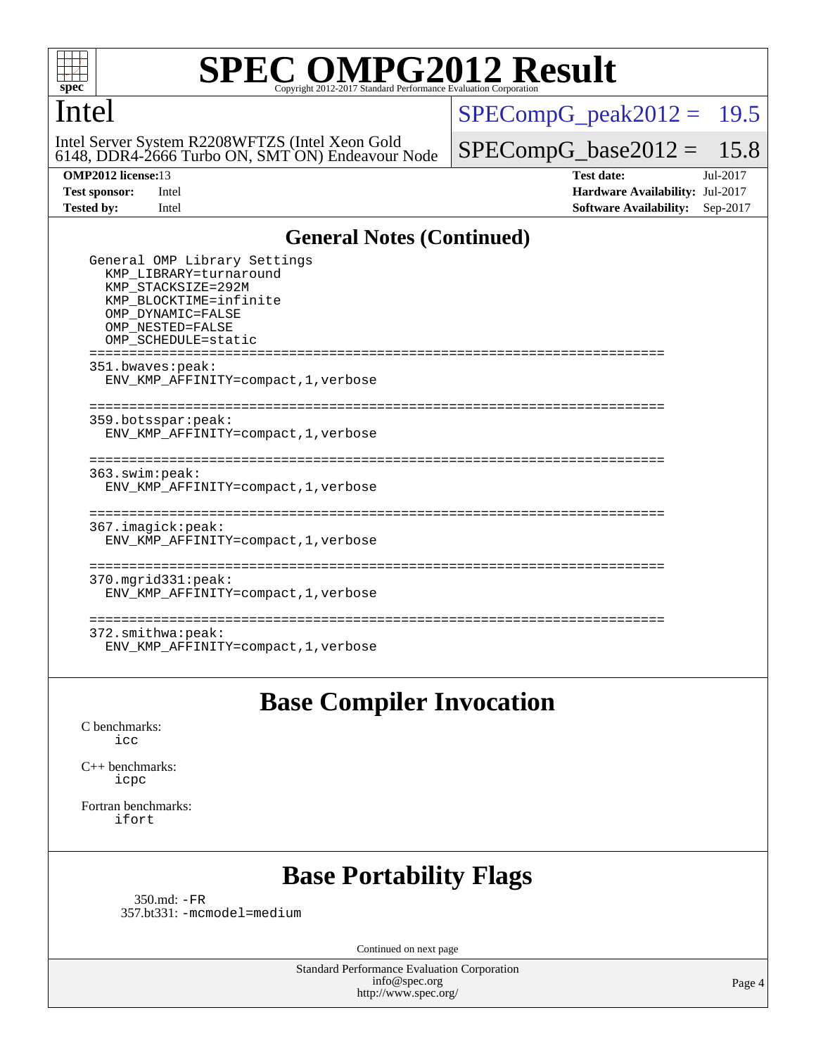## Intel

6148, DDR4-2666 Turbo ON, SMT ON) Endeavour Node Intel Server System R2208WFTZS (Intel Xeon Gold

 $SPECompG_peak2012 = 19.5$  $SPECompG_peak2012 = 19.5$ 

 $SPECompG_base2012 = 15.8$  $SPECompG_base2012 = 15.8$ 

**[OMP2012 license:](http://www.spec.org/auto/omp2012/Docs/result-fields.html#OMP2012license)**13 **[Test date:](http://www.spec.org/auto/omp2012/Docs/result-fields.html#Testdate)** Jul-2017 **[Test sponsor:](http://www.spec.org/auto/omp2012/Docs/result-fields.html#Testsponsor)** Intel **[Hardware Availability:](http://www.spec.org/auto/omp2012/Docs/result-fields.html#HardwareAvailability)** Jul-2017 **[Tested by:](http://www.spec.org/auto/omp2012/Docs/result-fields.html#Testedby)** Intel **[Software Availability:](http://www.spec.org/auto/omp2012/Docs/result-fields.html#SoftwareAvailability)** Sep-2017

### **[General Notes \(Continued\)](http://www.spec.org/auto/omp2012/Docs/result-fields.html#GeneralNotes)**

| General OMP Library Settings<br>KMP LIBRARY=turnaround<br>KMP STACKSIZE=292M<br>KMP BLOCKTIME=infinite<br>OMP DYNAMIC=FALSE<br>OMP NESTED=FALSE<br>OMP SCHEDULE=static |  |
|------------------------------------------------------------------------------------------------------------------------------------------------------------------------|--|
| 351.bwaves:peak:<br>ENV_KMP_AFFINITY=compact, 1, verbose                                                                                                               |  |
| ----------------------<br>359.botsspar:peak:<br>ENV KMP AFFINITY=compact, 1, verbose                                                                                   |  |
| 363.swim:peak:<br>ENV KMP AFFINITY=compact, 1, verbose                                                                                                                 |  |
| 367.imagick:peak:<br>ENV KMP AFFINITY=compact, 1, verbose                                                                                                              |  |
| . _ _ _ _ _ _ _ _ _ _ _ _ _ _ _ _<br>370.mgrid331:peak:<br>ENV KMP AFFINITY=compact, 1, verbose                                                                        |  |
| 372.smithwa:peak:<br>ENV KMP AFFINITY=compact, 1, verbose                                                                                                              |  |

## **[Base Compiler Invocation](http://www.spec.org/auto/omp2012/Docs/result-fields.html#BaseCompilerInvocation)**

[C benchmarks](http://www.spec.org/auto/omp2012/Docs/result-fields.html#Cbenchmarks): [icc](http://www.spec.org/omp2012/results/res2017q3/omp2012-20170704-00107.flags.html#user_CCbase_intel_icc_a87c68a857bc5ec5362391a49d3a37a6)

[C++ benchmarks:](http://www.spec.org/auto/omp2012/Docs/result-fields.html#CXXbenchmarks) [icpc](http://www.spec.org/omp2012/results/res2017q3/omp2012-20170704-00107.flags.html#user_CXXbase_intel_icpc_2d899f8d163502b12eb4a60069f80c1c)

[Fortran benchmarks](http://www.spec.org/auto/omp2012/Docs/result-fields.html#Fortranbenchmarks): [ifort](http://www.spec.org/omp2012/results/res2017q3/omp2012-20170704-00107.flags.html#user_FCbase_intel_ifort_8a5e5e06b19a251bdeaf8fdab5d62f20)

## **[Base Portability Flags](http://www.spec.org/auto/omp2012/Docs/result-fields.html#BasePortabilityFlags)**

 350.md: [-FR](http://www.spec.org/omp2012/results/res2017q3/omp2012-20170704-00107.flags.html#user_baseFPORTABILITY350_md_f-FR) 357.bt331: [-mcmodel=medium](http://www.spec.org/omp2012/results/res2017q3/omp2012-20170704-00107.flags.html#user_basePORTABILITY357_bt331_f-mcmodel_3a41622424bdd074c4f0f2d2f224c7e5)

Continued on next page

Standard Performance Evaluation Corporation [info@spec.org](mailto:info@spec.org) <http://www.spec.org/>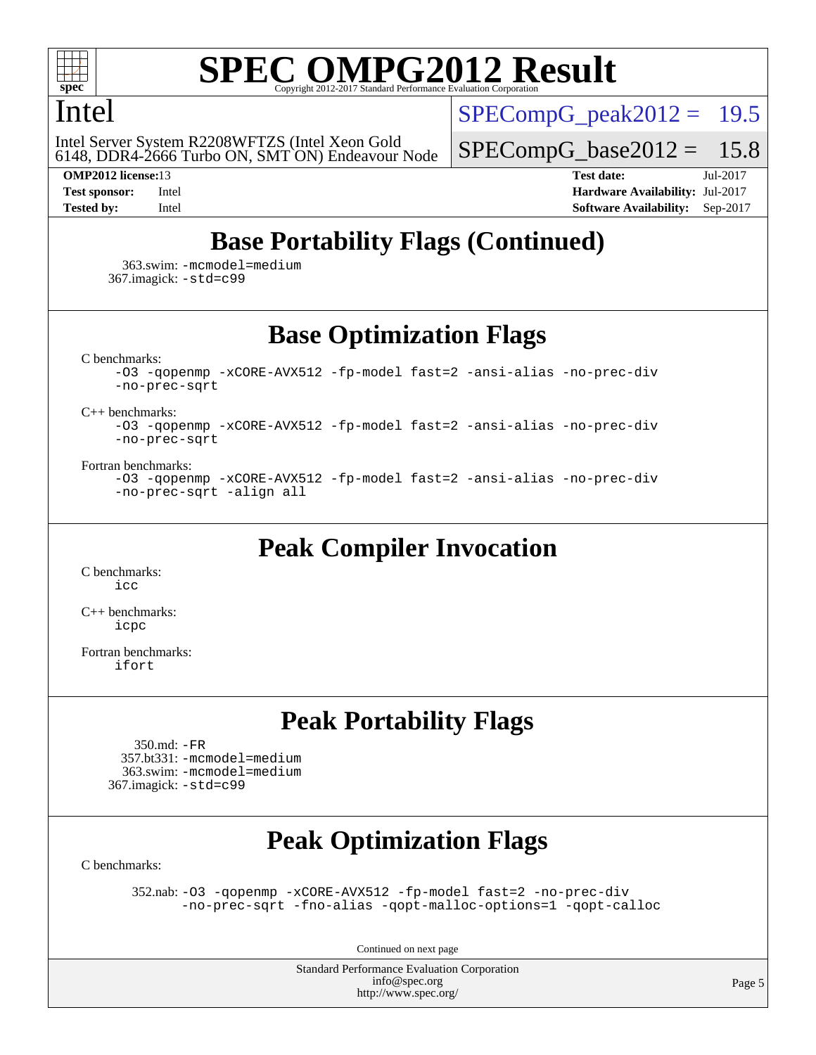

## Intel

6148, DDR4-2666 Turbo ON, SMT ON) Endeavour Node Intel Server System R2208WFTZS (Intel Xeon Gold

 $SPECompG<sub>peak2012</sub> = 19.5$ 

 $SPECompG_base2012 = 15.8$  $SPECompG_base2012 = 15.8$ 

**[OMP2012 license:](http://www.spec.org/auto/omp2012/Docs/result-fields.html#OMP2012license)**13 **[Test date:](http://www.spec.org/auto/omp2012/Docs/result-fields.html#Testdate)** Jul-2017 **[Test sponsor:](http://www.spec.org/auto/omp2012/Docs/result-fields.html#Testsponsor)** Intel **[Hardware Availability:](http://www.spec.org/auto/omp2012/Docs/result-fields.html#HardwareAvailability)** Jul-2017 **[Tested by:](http://www.spec.org/auto/omp2012/Docs/result-fields.html#Testedby)** Intel **[Software Availability:](http://www.spec.org/auto/omp2012/Docs/result-fields.html#SoftwareAvailability)** Sep-2017

## **[Base Portability Flags \(Continued\)](http://www.spec.org/auto/omp2012/Docs/result-fields.html#BasePortabilityFlags)**

 363.swim: [-mcmodel=medium](http://www.spec.org/omp2012/results/res2017q3/omp2012-20170704-00107.flags.html#user_basePORTABILITY363_swim_f-mcmodel_3a41622424bdd074c4f0f2d2f224c7e5) 367.imagick: [-std=c99](http://www.spec.org/omp2012/results/res2017q3/omp2012-20170704-00107.flags.html#user_baseCPORTABILITY367_imagick_f-std_2ec6533b6e06f1c4a6c9b78d9e9cde24)

**[Base Optimization Flags](http://www.spec.org/auto/omp2012/Docs/result-fields.html#BaseOptimizationFlags)**

[C benchmarks](http://www.spec.org/auto/omp2012/Docs/result-fields.html#Cbenchmarks):

[-O3](http://www.spec.org/omp2012/results/res2017q3/omp2012-20170704-00107.flags.html#user_CCbase_f-O3) [-qopenmp](http://www.spec.org/omp2012/results/res2017q3/omp2012-20170704-00107.flags.html#user_CCbase_f-qopenmp) [-xCORE-AVX512](http://www.spec.org/omp2012/results/res2017q3/omp2012-20170704-00107.flags.html#user_CCbase_f-xCORE-AVX512) [-fp-model fast=2](http://www.spec.org/omp2012/results/res2017q3/omp2012-20170704-00107.flags.html#user_CCbase_f-fp-model_a7fb8ccb7275e23f0079632c153cfcab) [-ansi-alias](http://www.spec.org/omp2012/results/res2017q3/omp2012-20170704-00107.flags.html#user_CCbase_f-ansi-alias) [-no-prec-div](http://www.spec.org/omp2012/results/res2017q3/omp2012-20170704-00107.flags.html#user_CCbase_f-no-prec-div)

[-no-prec-sqrt](http://www.spec.org/omp2012/results/res2017q3/omp2012-20170704-00107.flags.html#user_CCbase_f-no-prec-sqrt)

[C++ benchmarks:](http://www.spec.org/auto/omp2012/Docs/result-fields.html#CXXbenchmarks)

[-O3](http://www.spec.org/omp2012/results/res2017q3/omp2012-20170704-00107.flags.html#user_CXXbase_f-O3) [-qopenmp](http://www.spec.org/omp2012/results/res2017q3/omp2012-20170704-00107.flags.html#user_CXXbase_f-qopenmp) [-xCORE-AVX512](http://www.spec.org/omp2012/results/res2017q3/omp2012-20170704-00107.flags.html#user_CXXbase_f-xCORE-AVX512) [-fp-model fast=2](http://www.spec.org/omp2012/results/res2017q3/omp2012-20170704-00107.flags.html#user_CXXbase_f-fp-model_a7fb8ccb7275e23f0079632c153cfcab) [-ansi-alias](http://www.spec.org/omp2012/results/res2017q3/omp2012-20170704-00107.flags.html#user_CXXbase_f-ansi-alias) [-no-prec-div](http://www.spec.org/omp2012/results/res2017q3/omp2012-20170704-00107.flags.html#user_CXXbase_f-no-prec-div) [-no-prec-sqrt](http://www.spec.org/omp2012/results/res2017q3/omp2012-20170704-00107.flags.html#user_CXXbase_f-no-prec-sqrt)

[Fortran benchmarks](http://www.spec.org/auto/omp2012/Docs/result-fields.html#Fortranbenchmarks):

```
-O3 -qopenmp -xCORE-AVX512 -fp-model fast=2 -ansi-alias -no-prec-div
-no-prec-sqrt -align all
```
**[Peak Compiler Invocation](http://www.spec.org/auto/omp2012/Docs/result-fields.html#PeakCompilerInvocation)**

[C benchmarks](http://www.spec.org/auto/omp2012/Docs/result-fields.html#Cbenchmarks):  $i$ 

[C++ benchmarks:](http://www.spec.org/auto/omp2012/Docs/result-fields.html#CXXbenchmarks) [icpc](http://www.spec.org/omp2012/results/res2017q3/omp2012-20170704-00107.flags.html#user_CXXpeak_intel_icpc_2d899f8d163502b12eb4a60069f80c1c)

[Fortran benchmarks](http://www.spec.org/auto/omp2012/Docs/result-fields.html#Fortranbenchmarks): [ifort](http://www.spec.org/omp2012/results/res2017q3/omp2012-20170704-00107.flags.html#user_FCpeak_intel_ifort_8a5e5e06b19a251bdeaf8fdab5d62f20)

## **[Peak Portability Flags](http://www.spec.org/auto/omp2012/Docs/result-fields.html#PeakPortabilityFlags)**

 350.md: [-FR](http://www.spec.org/omp2012/results/res2017q3/omp2012-20170704-00107.flags.html#user_peakFPORTABILITY350_md_f-FR) 357.bt331: [-mcmodel=medium](http://www.spec.org/omp2012/results/res2017q3/omp2012-20170704-00107.flags.html#user_peakPORTABILITY357_bt331_f-mcmodel_3a41622424bdd074c4f0f2d2f224c7e5) 363.swim: [-mcmodel=medium](http://www.spec.org/omp2012/results/res2017q3/omp2012-20170704-00107.flags.html#user_peakPORTABILITY363_swim_f-mcmodel_3a41622424bdd074c4f0f2d2f224c7e5) 367.imagick: [-std=c99](http://www.spec.org/omp2012/results/res2017q3/omp2012-20170704-00107.flags.html#user_peakCPORTABILITY367_imagick_f-std_2ec6533b6e06f1c4a6c9b78d9e9cde24)

## **[Peak Optimization Flags](http://www.spec.org/auto/omp2012/Docs/result-fields.html#PeakOptimizationFlags)**

[C benchmarks](http://www.spec.org/auto/omp2012/Docs/result-fields.html#Cbenchmarks):

 352.nab: [-O3](http://www.spec.org/omp2012/results/res2017q3/omp2012-20170704-00107.flags.html#user_peakOPTIMIZE352_nab_f-O3) [-qopenmp](http://www.spec.org/omp2012/results/res2017q3/omp2012-20170704-00107.flags.html#user_peakOPTIMIZE352_nab_f-qopenmp) [-xCORE-AVX512](http://www.spec.org/omp2012/results/res2017q3/omp2012-20170704-00107.flags.html#user_peakOPTIMIZE352_nab_f-xCORE-AVX512) [-fp-model fast=2](http://www.spec.org/omp2012/results/res2017q3/omp2012-20170704-00107.flags.html#user_peakOPTIMIZE352_nab_f-fp-model_a7fb8ccb7275e23f0079632c153cfcab) [-no-prec-div](http://www.spec.org/omp2012/results/res2017q3/omp2012-20170704-00107.flags.html#user_peakOPTIMIZE352_nab_f-no-prec-div) [-no-prec-sqrt](http://www.spec.org/omp2012/results/res2017q3/omp2012-20170704-00107.flags.html#user_peakOPTIMIZE352_nab_f-no-prec-sqrt) [-fno-alias](http://www.spec.org/omp2012/results/res2017q3/omp2012-20170704-00107.flags.html#user_peakOPTIMIZE352_nab_f-no-alias_694e77f6c5a51e658e82ccff53a9e63a) [-qopt-malloc-options=1](http://www.spec.org/omp2012/results/res2017q3/omp2012-20170704-00107.flags.html#user_peakOPTIMIZE352_nab_f-qopt-malloc-options_09a2e35df06bdeed9a565b3a2aeeffe8) [-qopt-calloc](http://www.spec.org/omp2012/results/res2017q3/omp2012-20170704-00107.flags.html#user_peakOPTIMIZE352_nab_f-qopt-calloc)

Continued on next page

Standard Performance Evaluation Corporation [info@spec.org](mailto:info@spec.org) <http://www.spec.org/>

Page 5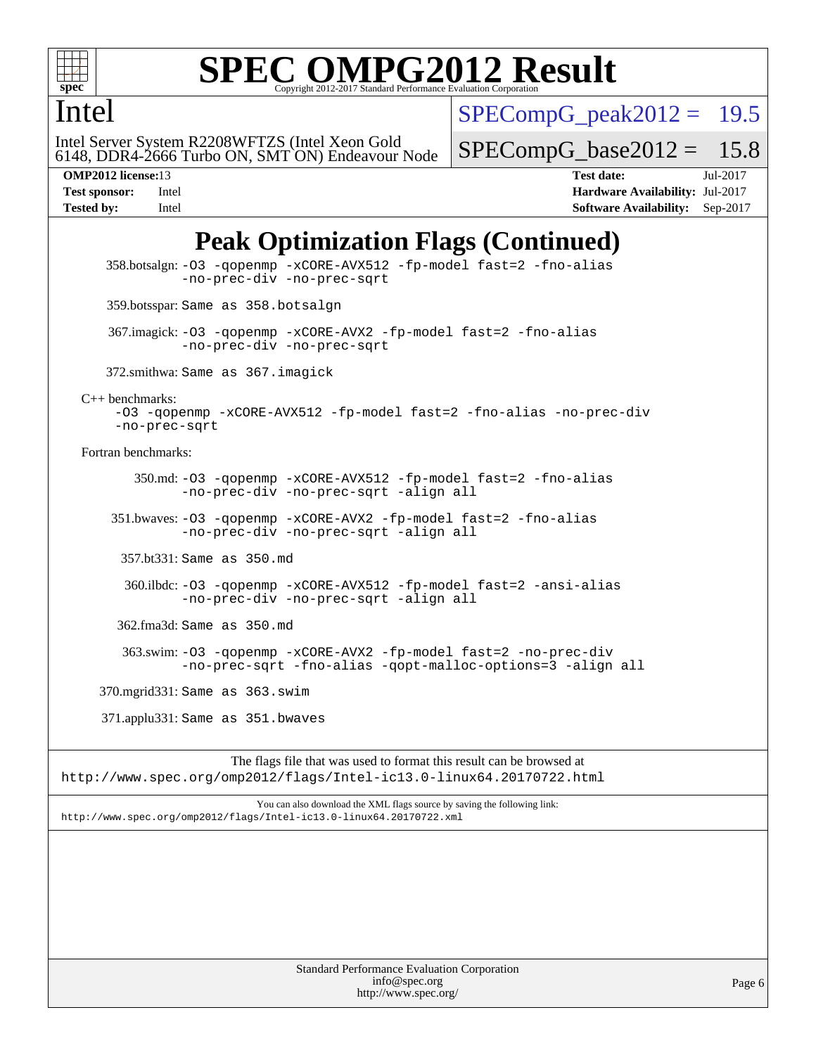

## Intel

 $SPECompG_peak2012 = 19.5$  $SPECompG_peak2012 = 19.5$ 

6148, DDR4-2666 Turbo ON, SMT ON) Endeavour Node Intel Server System R2208WFTZS (Intel Xeon Gold

 $SPECompG_base2012 = 15.8$  $SPECompG_base2012 = 15.8$ 

**[OMP2012 license:](http://www.spec.org/auto/omp2012/Docs/result-fields.html#OMP2012license)**13 **[Test date:](http://www.spec.org/auto/omp2012/Docs/result-fields.html#Testdate)** Jul-2017 **[Test sponsor:](http://www.spec.org/auto/omp2012/Docs/result-fields.html#Testsponsor)** Intel **[Hardware Availability:](http://www.spec.org/auto/omp2012/Docs/result-fields.html#HardwareAvailability)** Jul-2017 **[Tested by:](http://www.spec.org/auto/omp2012/Docs/result-fields.html#Testedby)** Intel **[Software Availability:](http://www.spec.org/auto/omp2012/Docs/result-fields.html#SoftwareAvailability)** Sep-2017

## **[Peak Optimization Flags \(Continued\)](http://www.spec.org/auto/omp2012/Docs/result-fields.html#PeakOptimizationFlags)**

 358.botsalgn: [-O3](http://www.spec.org/omp2012/results/res2017q3/omp2012-20170704-00107.flags.html#user_peakOPTIMIZE358_botsalgn_f-O3) [-qopenmp](http://www.spec.org/omp2012/results/res2017q3/omp2012-20170704-00107.flags.html#user_peakOPTIMIZE358_botsalgn_f-qopenmp) [-xCORE-AVX512](http://www.spec.org/omp2012/results/res2017q3/omp2012-20170704-00107.flags.html#user_peakOPTIMIZE358_botsalgn_f-xCORE-AVX512) [-fp-model fast=2](http://www.spec.org/omp2012/results/res2017q3/omp2012-20170704-00107.flags.html#user_peakOPTIMIZE358_botsalgn_f-fp-model_a7fb8ccb7275e23f0079632c153cfcab) [-fno-alias](http://www.spec.org/omp2012/results/res2017q3/omp2012-20170704-00107.flags.html#user_peakOPTIMIZE358_botsalgn_f-no-alias_694e77f6c5a51e658e82ccff53a9e63a) [-no-prec-div](http://www.spec.org/omp2012/results/res2017q3/omp2012-20170704-00107.flags.html#user_peakOPTIMIZE358_botsalgn_f-no-prec-div) [-no-prec-sqrt](http://www.spec.org/omp2012/results/res2017q3/omp2012-20170704-00107.flags.html#user_peakOPTIMIZE358_botsalgn_f-no-prec-sqrt) 359.botsspar: Same as 358.botsalgn 367.imagick: [-O3](http://www.spec.org/omp2012/results/res2017q3/omp2012-20170704-00107.flags.html#user_peakOPTIMIZE367_imagick_f-O3) [-qopenmp](http://www.spec.org/omp2012/results/res2017q3/omp2012-20170704-00107.flags.html#user_peakOPTIMIZE367_imagick_f-qopenmp) [-xCORE-AVX2](http://www.spec.org/omp2012/results/res2017q3/omp2012-20170704-00107.flags.html#user_peakOPTIMIZE367_imagick_f-xCORE-AVX2) [-fp-model fast=2](http://www.spec.org/omp2012/results/res2017q3/omp2012-20170704-00107.flags.html#user_peakOPTIMIZE367_imagick_f-fp-model_a7fb8ccb7275e23f0079632c153cfcab) [-fno-alias](http://www.spec.org/omp2012/results/res2017q3/omp2012-20170704-00107.flags.html#user_peakOPTIMIZE367_imagick_f-no-alias_694e77f6c5a51e658e82ccff53a9e63a) [-no-prec-div](http://www.spec.org/omp2012/results/res2017q3/omp2012-20170704-00107.flags.html#user_peakOPTIMIZE367_imagick_f-no-prec-div) [-no-prec-sqrt](http://www.spec.org/omp2012/results/res2017q3/omp2012-20170704-00107.flags.html#user_peakOPTIMIZE367_imagick_f-no-prec-sqrt) 372.smithwa: Same as 367.imagick [C++ benchmarks:](http://www.spec.org/auto/omp2012/Docs/result-fields.html#CXXbenchmarks) [-O3](http://www.spec.org/omp2012/results/res2017q3/omp2012-20170704-00107.flags.html#user_CXXpeak_f-O3) [-qopenmp](http://www.spec.org/omp2012/results/res2017q3/omp2012-20170704-00107.flags.html#user_CXXpeak_f-qopenmp) [-xCORE-AVX512](http://www.spec.org/omp2012/results/res2017q3/omp2012-20170704-00107.flags.html#user_CXXpeak_f-xCORE-AVX512) [-fp-model fast=2](http://www.spec.org/omp2012/results/res2017q3/omp2012-20170704-00107.flags.html#user_CXXpeak_f-fp-model_a7fb8ccb7275e23f0079632c153cfcab) [-fno-alias](http://www.spec.org/omp2012/results/res2017q3/omp2012-20170704-00107.flags.html#user_CXXpeak_f-no-alias_694e77f6c5a51e658e82ccff53a9e63a) [-no-prec-div](http://www.spec.org/omp2012/results/res2017q3/omp2012-20170704-00107.flags.html#user_CXXpeak_f-no-prec-div) [-no-prec-sqrt](http://www.spec.org/omp2012/results/res2017q3/omp2012-20170704-00107.flags.html#user_CXXpeak_f-no-prec-sqrt) [Fortran benchmarks](http://www.spec.org/auto/omp2012/Docs/result-fields.html#Fortranbenchmarks): 350.md: [-O3](http://www.spec.org/omp2012/results/res2017q3/omp2012-20170704-00107.flags.html#user_peakOPTIMIZE350_md_f-O3) [-qopenmp](http://www.spec.org/omp2012/results/res2017q3/omp2012-20170704-00107.flags.html#user_peakOPTIMIZE350_md_f-qopenmp) [-xCORE-AVX512](http://www.spec.org/omp2012/results/res2017q3/omp2012-20170704-00107.flags.html#user_peakOPTIMIZE350_md_f-xCORE-AVX512) [-fp-model fast=2](http://www.spec.org/omp2012/results/res2017q3/omp2012-20170704-00107.flags.html#user_peakOPTIMIZE350_md_f-fp-model_a7fb8ccb7275e23f0079632c153cfcab) [-fno-alias](http://www.spec.org/omp2012/results/res2017q3/omp2012-20170704-00107.flags.html#user_peakOPTIMIZE350_md_f-no-alias_694e77f6c5a51e658e82ccff53a9e63a) [-no-prec-div](http://www.spec.org/omp2012/results/res2017q3/omp2012-20170704-00107.flags.html#user_peakOPTIMIZE350_md_f-no-prec-div) [-no-prec-sqrt](http://www.spec.org/omp2012/results/res2017q3/omp2012-20170704-00107.flags.html#user_peakOPTIMIZE350_md_f-no-prec-sqrt) [-align all](http://www.spec.org/omp2012/results/res2017q3/omp2012-20170704-00107.flags.html#user_peakFOPTIMIZE350_md_f-align_1ebfa66158b49aff21b037afc4046011) 351.bwaves: [-O3](http://www.spec.org/omp2012/results/res2017q3/omp2012-20170704-00107.flags.html#user_peakOPTIMIZE351_bwaves_f-O3) [-qopenmp](http://www.spec.org/omp2012/results/res2017q3/omp2012-20170704-00107.flags.html#user_peakOPTIMIZE351_bwaves_f-qopenmp) [-xCORE-AVX2](http://www.spec.org/omp2012/results/res2017q3/omp2012-20170704-00107.flags.html#user_peakOPTIMIZE351_bwaves_f-xCORE-AVX2) [-fp-model fast=2](http://www.spec.org/omp2012/results/res2017q3/omp2012-20170704-00107.flags.html#user_peakOPTIMIZE351_bwaves_f-fp-model_a7fb8ccb7275e23f0079632c153cfcab) [-fno-alias](http://www.spec.org/omp2012/results/res2017q3/omp2012-20170704-00107.flags.html#user_peakOPTIMIZE351_bwaves_f-no-alias_694e77f6c5a51e658e82ccff53a9e63a) [-no-prec-div](http://www.spec.org/omp2012/results/res2017q3/omp2012-20170704-00107.flags.html#user_peakOPTIMIZE351_bwaves_f-no-prec-div) [-no-prec-sqrt](http://www.spec.org/omp2012/results/res2017q3/omp2012-20170704-00107.flags.html#user_peakOPTIMIZE351_bwaves_f-no-prec-sqrt) [-align all](http://www.spec.org/omp2012/results/res2017q3/omp2012-20170704-00107.flags.html#user_peakFOPTIMIZE351_bwaves_f-align_1ebfa66158b49aff21b037afc4046011) 357.bt331: Same as 350.md 360.ilbdc: [-O3](http://www.spec.org/omp2012/results/res2017q3/omp2012-20170704-00107.flags.html#user_peakOPTIMIZE360_ilbdc_f-O3) [-qopenmp](http://www.spec.org/omp2012/results/res2017q3/omp2012-20170704-00107.flags.html#user_peakOPTIMIZE360_ilbdc_f-qopenmp) [-xCORE-AVX512](http://www.spec.org/omp2012/results/res2017q3/omp2012-20170704-00107.flags.html#user_peakOPTIMIZE360_ilbdc_f-xCORE-AVX512) [-fp-model fast=2](http://www.spec.org/omp2012/results/res2017q3/omp2012-20170704-00107.flags.html#user_peakOPTIMIZE360_ilbdc_f-fp-model_a7fb8ccb7275e23f0079632c153cfcab) [-ansi-alias](http://www.spec.org/omp2012/results/res2017q3/omp2012-20170704-00107.flags.html#user_peakOPTIMIZE360_ilbdc_f-ansi-alias) [-no-prec-div](http://www.spec.org/omp2012/results/res2017q3/omp2012-20170704-00107.flags.html#user_peakOPTIMIZE360_ilbdc_f-no-prec-div) [-no-prec-sqrt](http://www.spec.org/omp2012/results/res2017q3/omp2012-20170704-00107.flags.html#user_peakOPTIMIZE360_ilbdc_f-no-prec-sqrt) [-align all](http://www.spec.org/omp2012/results/res2017q3/omp2012-20170704-00107.flags.html#user_peakFOPTIMIZE360_ilbdc_f-align_1ebfa66158b49aff21b037afc4046011) 362.fma3d: Same as 350.md 363.swim: [-O3](http://www.spec.org/omp2012/results/res2017q3/omp2012-20170704-00107.flags.html#user_peakOPTIMIZE363_swim_f-O3) [-qopenmp](http://www.spec.org/omp2012/results/res2017q3/omp2012-20170704-00107.flags.html#user_peakOPTIMIZE363_swim_f-qopenmp) [-xCORE-AVX2](http://www.spec.org/omp2012/results/res2017q3/omp2012-20170704-00107.flags.html#user_peakOPTIMIZE363_swim_f-xCORE-AVX2) [-fp-model fast=2](http://www.spec.org/omp2012/results/res2017q3/omp2012-20170704-00107.flags.html#user_peakOPTIMIZE363_swim_f-fp-model_a7fb8ccb7275e23f0079632c153cfcab) [-no-prec-div](http://www.spec.org/omp2012/results/res2017q3/omp2012-20170704-00107.flags.html#user_peakOPTIMIZE363_swim_f-no-prec-div) [-no-prec-sqrt](http://www.spec.org/omp2012/results/res2017q3/omp2012-20170704-00107.flags.html#user_peakOPTIMIZE363_swim_f-no-prec-sqrt) [-fno-alias](http://www.spec.org/omp2012/results/res2017q3/omp2012-20170704-00107.flags.html#user_peakOPTIMIZE363_swim_f-no-alias_694e77f6c5a51e658e82ccff53a9e63a) [-qopt-malloc-options=3](http://www.spec.org/omp2012/results/res2017q3/omp2012-20170704-00107.flags.html#user_peakOPTIMIZE363_swim_f-qopt-malloc-options_0fcb435012e78f27d57f473818e45fe4) [-align all](http://www.spec.org/omp2012/results/res2017q3/omp2012-20170704-00107.flags.html#user_peakFOPTIMIZE363_swim_f-align_1ebfa66158b49aff21b037afc4046011) 370.mgrid331: Same as 363.swim 371.applu331: Same as 351.bwaves The flags file that was used to format this result can be browsed at

<http://www.spec.org/omp2012/flags/Intel-ic13.0-linux64.20170722.html>

You can also download the XML flags source by saving the following link: <http://www.spec.org/omp2012/flags/Intel-ic13.0-linux64.20170722.xml>

> Standard Performance Evaluation Corporation [info@spec.org](mailto:info@spec.org) <http://www.spec.org/>